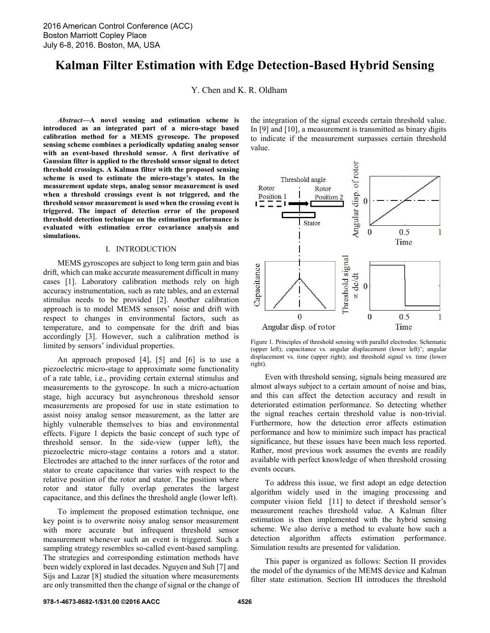# **Kalman Filter Estimation with Edge Detection-Based Hybrid Sensing**

Y. Chen and K. R. Oldham

*Abstract***—A novel sensing and estimation scheme is introduced as an integrated part of a micro-stage based calibration method for a MEMS gyroscope. The proposed sensing scheme combines a periodically updating analog sensor with an event-based threshold sensor. A first derivative of Gaussian filter is applied to the threshold sensor signal to detect threshold crossings. A Kalman filter with the proposed sensing scheme is used to estimate the micro-stage's states. In the measurement update steps, analog sensor measurement is used when a threshold crossings event is not triggered, and the threshold sensor measurement is used when the crossing event is triggered. The impact of detection error of the proposed threshold detection technique on the estimation performance is evaluated with estimation error covariance analysis and simulations.** 

#### I. INTRODUCTION

MEMS gyroscopes are subject to long term gain and bias drift, which can make accurate measurement difficult in many cases [1]. Laboratory calibration methods rely on high accuracy instrumentation, such as rate tables, and an external stimulus needs to be provided [2]. Another calibration approach is to model MEMS sensors' noise and drift with respect to changes in environmental factors, such as temperature, and to compensate for the drift and bias accordingly [3]. However, such a calibration method is limited by sensors' individual properties.

An approach proposed [4], [5] and [6] is to use a piezoelectric micro-stage to approximate some functionality of a rate table, i.e., providing certain external stimulus and measurements to the gyroscope. In such a micro-actuation stage, high accuracy but asynchronous threshold sensor measurements are proposed for use in state estimation to assist noisy analog sensor measurement, as the latter are highly vulnerable themselves to bias and environmental effects. Figure 1 depicts the basic concept of such type of threshold sensor. In the side-view (upper left), the piezoelectric micro-stage contains a rotors and a stator. Electrodes are attached to the inner surfaces of the rotor and stator to create capacitance that varies with respect to the relative position of the rotor and stator. The position where rotor and stator fully overlap generates the largest capacitance, and this defines the threshold angle (lower left).

To implement the proposed estimation technique, one key point is to overwrite noisy analog sensor measurement with more accurate but infrequent threshold sensor measurement whenever such an event is triggered. Such a sampling strategy resembles so-called event-based sampling. The strategies and corresponding estimation methods have been widely explored in last decades. Nguyen and Suh [7] and Sijs and Lazar [8] studied the situation where measurements are only transmitted then the change of signal or the change of the integration of the signal exceeds certain threshold value. In [9] and [10], a measurement is transmitted as binary digits to indicate if the measurement surpasses certain threshold value.



Figure 1. Principles of threshold sensing with parallel electrodes: Schematic (upper left); capacitance vs. angular displacement (lower left)'; angular displacement vs. time (upper right); and threshold signal vs. time (lower right).

Even with threshold sensing, signals being measured are almost always subject to a certain amount of noise and bias, and this can affect the detection accuracy and result in deteriorated estimation performance. So detecting whether the signal reaches certain threshold value is non-trivial. Furthermore, how the detection error affects estimation performance and how to minimize such impact has practical significance, but these issues have been much less reported. Rather, most previous work assumes the events are readily available with perfect knowledge of when threshold crossing events occurs.

To address this issue, we first adopt an edge detection algorithm widely used in the imaging processing and computer vision field [11] to detect if threshold sensor's measurement reaches threshold value. A Kalman filter estimation is then implemented with the hybrid sensing scheme. We also derive a method to evaluate how such a detection algorithm affects estimation performance. Simulation results are presented for validation.

This paper is organized as follows: Section II provides the model of the dynamics of the MEMS device and Kalman filter state estimation. Section III introduces the threshold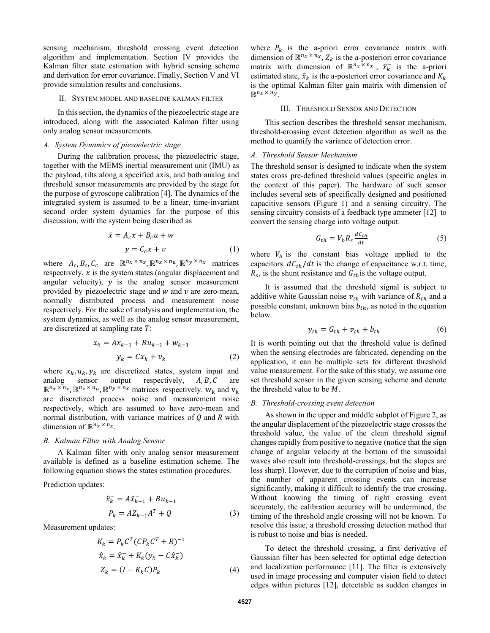sensing mechanism, threshold crossing event detection algorithm and implementation. Section IV provides the Kalman filter state estimation with hybrid sensing scheme and derivation for error covariance. Finally, Section V and VI provide simulation results and conclusions.

#### II. SYSTEM MODEL AND BASELINE KALMAN FILTER

In this section, the dynamics of the piezoelectric stage are introduced, along with the associated Kalman filter using only analog sensor measurements.

## *A. System Dynamics of piezoelectric stage*

During the calibration process, the piezoelectric stage, together with the MEMS inertial measurement unit (IMU) as the payload, tilts along a specified axis, and both analog and threshold sensor measurements are provided by the stage for the purpose of gyroscope calibration [4]. The dynamics of the integrated system is assumed to be a linear, time-invariant second order system dynamics for the purpose of this discussion, with the system being described as

$$
\dot{x} = A_c x + B_c u + w
$$
  

$$
y = C_c x + v
$$
 (1)

where  $A_c, B_c, C_c$  are  $\mathbb{R}^{n_x \times n_x}, \mathbb{R}^{n_x \times n_u}, \mathbb{R}^{n_y \times n_x}$  matrices respectively,  $x$  is the system states (angular displacement and angular velocity),  $y$  is the analog sensor measurement provided by piezoelectric stage and  $w$  and  $v$  are zero-mean, normally distributed process and measurement noise respectively. For the sake of analysis and implementation, the system dynamics, as well as the analog sensor measurement, are discretized at sampling rate  $T$ :

$$
x_k = Ax_{k-1} + Bu_{k-1} + w_{k-1}
$$
  

$$
y_k = Cx_k + v_k
$$
 (2)

where  $x_k$ ,  $u_k$ ,  $y_k$  are discretized states, system input and analog sensor output respectively,  $A, B, C$  are analog sensor output respectively,  $A, B, C$  are  $\mathbb{R}^{n_x \times n_x}$ ,  $\mathbb{R}^{n_x \times n_u}$ ,  $\mathbb{R}^{n_y \times n_x}$  matrices respectively.  $w_k$  and  $v_k$ are discretized process noise and measurement noise respectively, which are assumed to have zero-mean and normal distribution, with variance matrices of  $Q$  and  $R$  with dimension of  $\mathbb{R}^{n_x \times n_x}$ .

## *B. Kalman Filter with Analog Sensor*

A Kalman filter with only analog sensor measurement available is defined as a baseline estimation scheme. The following equation shows the states estimation procedures.

Prediction updates:

$$
\hat{x}_{k}^{-} = A\hat{x}_{k-1}^{-} + Bu_{k-1}
$$
  
\n
$$
P_{k} = AZ_{k-1}A^{T} + Q
$$
 (3)

Measurement updates:

$$
K_k = P_k C^T (C P_k C^T + R)^{-1}
$$
  
\n
$$
\hat{x}_k = \hat{x}_k^- + K_k (y_k - C \hat{x}_k^-)
$$
  
\n
$$
Z_k = (I - K_k C) P_k
$$
\n(4)

where  $P_k$  is the a-priori error covariance matrix with dimension of  $\mathbb{R}^{n_x \times n_x}$ ,  $Z_k$  is the a-posteriori error covariance matrix with dimension of  $\mathbb{R}^{n_x \times n_x}$ ,  $\hat{\chi}_k^-$  is the a-priori estimated state,  $\hat{x}_k$  is the a-posteriori error covariance and  $K_k$ is the optimal Kalman filter gain matrix with dimension of  $\mathbb{R}^{n_x \times n_y}$ .

#### III. THRESHOLD SENSOR AND DETECTION

This section describes the threshold sensor mechanism, threshold-crossing event detection algorithm as well as the method to quantify the variance of detection error.

## *A. Threshold Sensor Mechanism*

The threshold sensor is designed to indicate when the system states cross pre-defined threshold values (specific angles in the context of this paper). The hardware of such sensor includes several sets of specifically designed and positioned capacitive sensors (Figure 1) and a sensing circuitry. The sensing circuitry consists of a feedback type ammeter [12] to convert the sensing charge into voltage output.

$$
G_{th} = V_b R_s \frac{dC_{th}}{dt} \tag{5}
$$

where  $V_b$  is the constant bias voltage applied to the capacitors.  $dC_{th}/dt$  is the change of capacitance w.r.t. time,  $R_s$ , is the shunt resistance and  $G_{th}$  is the voltage output.

It is assumed that the threshold signal is subject to additive white Gaussian noise  $v_{th}$  with variance of  $R_{th}$  and a possible constant, unknown bias  $b_{th}$ , as noted in the equation below.

$$
y_{th} = G_{th} + v_{th} + b_{th} \tag{6}
$$

It is worth pointing out that the threshold value is defined when the sensing electrodes are fabricated, depending on the application, it can be multiple sets for different threshold value measurement. For the sake of this study, we assume one set threshold sensor in the given sensing scheme and denote the threshold value to be  $M$ .

## *B. Threshold-crossing event detection*

As shown in the upper and middle subplot of Figure 2, as the angular displacement of the piezoelectric stage crosses the threshold value, the value of the clean threshold signal changes rapidly from positive to negative (notice that the sign change of angular velocity at the bottom of the sinusoidal waves also result into threshold-crossings, but the slopes are less sharp). However, due to the corruption of noise and bias, the number of apparent crossing events can increase significantly, making it difficult to identify the true crossing. Without knowing the timing of right crossing event accurately, the calibration accuracy will be undermined, the timing of the threshold angle crossing will not be known. To resolve this issue, a threshold crossing detection method that is robust to noise and bias is needed.

To detect the threshold crossing, a first derivative of Gaussian filter has been selected for optimal edge detection and localization performance [11]. The filter is extensively used in image processing and computer vision field to detect edges within pictures [12], detectable as sudden changes in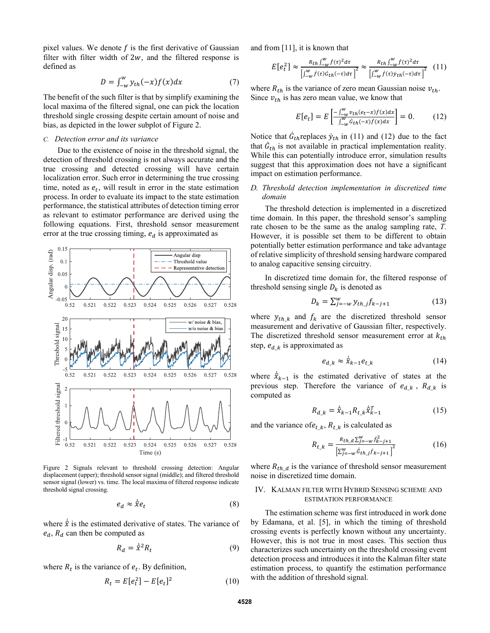pixel values. We denote  $f$  is the first derivative of Gaussian filter with filter width of  $2w$ , and the filtered response is defined as

$$
D = \int_{-w}^{w} y_{th}(-x)f(x)dx \tag{7}
$$

The benefit of the such filter is that by simplify examining the local maxima of the filtered signal, one can pick the location threshold single crossing despite certain amount of noise and bias, as depicted in the lower subplot of Figure 2.

#### *C. Detection error and its variance*

Due to the existence of noise in the threshold signal, the detection of threshold crossing is not always accurate and the true crossing and detected crossing will have certain localization error. Such error in determining the true crossing time, noted as  $e_t$ , will result in error in the state estimation process. In order to evaluate its impact to the state estimation performance, the statistical attributes of detection timing error as relevant to estimator performance are derived using the following equations. First, threshold sensor measurement error at the true crossing timing,  $e_d$  is approximated as



Figure 2 Signals relevant to threshold crossing detection: Angular displacement (upper); threshold sensor signal (middle); and filtered threshold sensor signal (lower) vs. time. The local maxima of filtered response indicate threshold signal crossing.

$$
e_d \approx \dot{\hat{x}} e_t \tag{8}
$$

where  $\hat{x}$  is the estimated derivative of states. The variance of ֧֧֢֧֧֧֧֧֧֧֟֓֝֬֝֬֝֬֝֬֓֝֬<u>֖֓</u>  $e_d$ ,  $R_d$  can then be computed as

$$
R_d = \dot{\hat{x}}^2 R_t \tag{9}
$$

where  $R_t$  is the variance of  $e_t$ . By definition,

$$
R_t = E[e_t^2] - E[e_t]^2 \tag{10}
$$

and from [11], it is known that

$$
E[e_t^2] \approx \frac{R_{th} \int_{-w}^w \dot{f}(\tau)^2 d\tau}{\left[\int_{-w}^w \dot{f}(\tau) \dot{G}_{th}(-\tau) d\tau\right]^2} \approx \frac{R_{th} \int_{-w}^w \dot{f}(\tau)^2 d\tau}{\left[\int_{-w}^w \dot{f}(\tau) \dot{y}_{th}(-\tau) d\tau\right]^2} (11)
$$

where  $R_{th}$  is the variance of zero mean Gaussian noise  $v_{th}$ . Since  $v_{th}$  is has zero mean value, we know that

$$
E[e_t] = E\left[\frac{-\int_{-w}^{w} v_{th}(e_t - x)\dot{f}(x)dx}{\int_{-w}^{w} \dot{G}_{th}(-x)\dot{f}(x)dx}\right] = 0.
$$
 (12)

Notice that  $\dot{G}_{th}$  replaces  $\dot{y}_{th}$  in (11) and (12) due to the fact that  $\dot{G}_{th}$  is not available in practical implementation reality. While this can potentially introduce error, simulation results suggest that this approximation does not have a significant impact on estimation performance.

# *D. Threshold detection implementation in discretized time domain*

The threshold detection is implemented in a discretized time domain. In this paper, the threshold sensor's sampling rate chosen to be the same as the analog sampling rate, *T.*  However, it is possible set them to be different to obtain potentially better estimation performance and take advantage of relative simplicity of threshold sensing hardware compared to analog capacitive sensing circuitry.

In discretized time domain for, the filtered response of threshold sensing single  $D_k$  is denoted as

$$
D_k = \sum_{j=-w}^{w} y_{th,j} f_{k-j+1}
$$
 (13)

where  $y_{th k}$  and  $f_k$  are the discretized threshold sensor measurement and derivative of Gaussian filter, respectively. The discretized threshold sensor measurement error at  $k_{th}$ step,  $e_{d,k}$  is approximated as

$$
e_{d_k} \approx \dot{\hat{x}}_{k-1} e_{t_k} \tag{14}
$$

where  $\hat{x}_{k-1}$  is the estimated derivative of states at the ֧֧֦֧֦֧֦֧֦֧֦֧֦֧֦֧֦֧֦֧֧֦֧֝֟֝֬֝֝֝֬ previous step. Therefore the variance of  $e_{d,k}$ ,  $R_{d,k}$  is computed as

$$
R_{d_k} = \dot{\hat{x}}_{k-1} R_{t_k} \dot{\hat{x}}_{k-1}^T
$$
 (15)

and the variance of  $e_{t,k}$ ,  $R_{t,k}$  is calculated as

$$
R_{t_k} = \frac{R_{th,d} \Sigma_{j=-w}^w \hat{f}_{k-j+1}^2}{\left[\Sigma_{j=-w}^w \hat{G}_{th,j} \hat{f}_{k-j+1}\right]^2}
$$
(16)

where  $R_{th,d}$  is the variance of threshold sensor measurement noise in discretized time domain.

# IV. KALMAN FILTER WITH HYBRID SENSING SCHEME AND ESTIMATION PERFORMANCE

The estimation scheme was first introduced in work done by Edamana, et al. [5], in which the timing of threshold crossing events is perfectly known without any uncertainty. However, this is not true in most cases. This section thus characterizes such uncertainty on the threshold crossing event detection process and introduces it into the Kalman filter state estimation process, to quantify the estimation performance with the addition of threshold signal.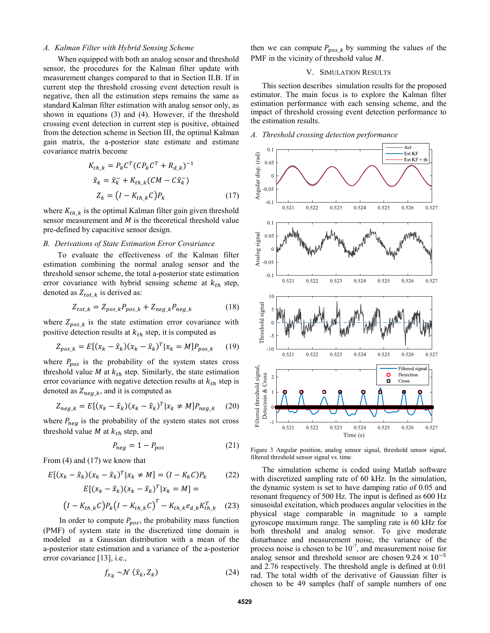# *A. Kalman Filter with Hybrid Sensing Scheme*

When equipped with both an analog sensor and threshold sensor, the procedures for the Kalman filter update with measurement changes compared to that in Section II.B. If in current step the threshold crossing event detection result is negative, then all the estimation steps remains the same as standard Kalman filter estimation with analog sensor only, as shown in equations (3) and (4). However, if the threshold crossing event detection in current step is positive, obtained from the detection scheme in Section III, the optimal Kalman gain matrix, the a-posterior state estimate and estimate covariance matrix become

$$
K_{th,k} = P_k C^T (C P_k C^T + R_{d,k})^{-1}
$$
  
\n
$$
\hat{x}_k = \hat{x}_k^- + K_{th,k} (C M - C \hat{x}_k^-)
$$
  
\n
$$
Z_k = (I - K_{th,k} C) P_k
$$
 (17)

where  $K_{th k}$  is the optimal Kalman filter gain given threshold sensor measurement and  $M$  is the theoretical threshold value pre-defined by capacitive sensor design.

# *B. Derivations of State Estimation Error Covariance*

To evaluate the effectiveness of the Kalman filter estimation combining the normal analog sensor and the threshold sensor scheme, the total a-posterior state estimation error covariance with hybrid sensing scheme at  $k_{th}$  step, denoted as  $Z_{tot\;k}$  is derived as:

$$
Z_{tot\_k} = Z_{pos\_k} P_{pos\_k} + Z_{neg\_k} P_{neg\_k}
$$
 (18)

where  $Z_{pos\_k}$  is the state estimation error covariance with positive detection results at  $k_{th}$  step, it is computed as

$$
Z_{pos_k} = E[(x_k - \hat{x}_k)(x_k - \hat{x}_k)^T | x_k = M] P_{pos_k} \qquad (19)
$$

where  $P_{pos}$  is the probability of the system states cross threshold value  $M$  at  $k_{th}$  step. Similarly, the state estimation error covariance with negative detection results at  $k_{th}$  step is denoted as  $Z_{neq k}$ , and it is computed as

$$
Z_{neg_k} = E[(x_k - \hat{x}_k)(x_k - \hat{x}_k)^T | x_k \neq M]P_{neg_k} \tag{20}
$$

where  $P_{neg}$  is the probability of the system states not cross threshold value  $M$  at  $k_{th}$  step, and

$$
P_{neg} = 1 - P_{pos} \tag{21}
$$

From (4) and (17) we know that

$$
E[(x_k - \hat{x}_k)(x_k - \hat{x}_k)^T | x_k \neq M] = (I - K_k C)P_k
$$
(22)  

$$
E[(x_k - \hat{x}_k)(x_k - \hat{x}_k)^T | x_k = M] =
$$
  

$$
(I - K_{th,k}C)P_k(I - K_{th,k}C)^T - K_{th,k}e_{d,k}K_{th,k}^T
$$
(23)

In order to compute  $P_{pos}$ , the probability mass function (PMF) of system state in the discretized time domain is modeled as a Gaussian distribution with a mean of the a-posterior state estimation and a variance of the a-posterior error covariance [13], i.e.,

$$
f_{x_k} \sim \mathcal{N} \left( \hat{x}_k, Z_k \right) \tag{24}
$$

then we can compute  $P_{pos_k}$  by summing the values of the PMF in the vicinity of threshold value  $M$ .

# V. SIMULATION RESULTS

This section describes simulation results for the proposed estimator. The main focus is to explore the Kalman filter estimation performance with each sensing scheme, and the impact of threshold crossing event detection performance to the estimation results.

#### *A. Threshold crossing detection performance*



Figure 3 Angular position, analog sensor signal, threshold sensor signal, filtered threshold sensor signal vs. time.

The simulation scheme is coded using Matlab software with discretized sampling rate of 60 kHz. In the simulation, the dynamic system is set to have damping ratio of 0.05 and resonant frequency of 500 Hz. The input is defined as 600 Hz sinusoidal excitation, which produces angular velocities in the physical stage comparable in magnitude to a sample gyroscope maximum range. The sampling rate is 60 kHz for both threshold and analog sensor. To give moderate disturbance and measurement noise, the variance of the process noise is chosen to be  $10^{-7}$ , and measurement noise for analog sensor and threshold sensor are chosen  $9.24 \times 10^{-5}$ and 2.76 respectively. The threshold angle is defined at 0.01 rad. The total width of the derivative of Gaussian filter is chosen to be 49 samples (half of sample numbers of one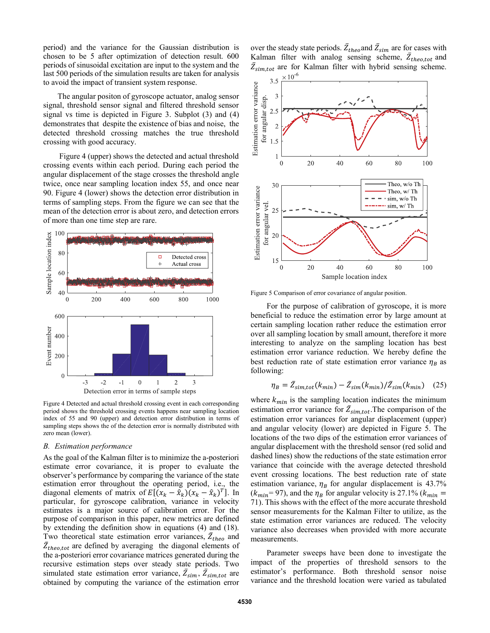period) and the variance for the Gaussian distribution is chosen to be 5 after optimization of detection result. 600 periods of sinusoidal excitation are input to the system and the last 500 periods of the simulation results are taken for analysis to avoid the impact of transient system response.

The angular positon of gyroscope actuator, analog sensor signal, threshold sensor signal and filtered threshold sensor signal vs time is depicted in Figure 3. Subplot (3) and (4) demonstrates that despite the existence of bias and noise, the detected threshold crossing matches the true threshold crossing with good accuracy.

Figure 4 (upper) shows the detected and actual threshold crossing events within each period. During each period the angular displacement of the stage crosses the threshold angle twice, once near sampling location index 55, and once near 90. Figure 4 (lower) shows the detection error distribution in terms of sampling steps. From the figure we can see that the mean of the detection error is about zero, and detection errors of more than one time step are rare.



Figure 4 Detected and actual threshold crossing event in each corresponding period shows the threshold crossing events happens near sampling location index of 55 and 90 (upper) and detection error distribution in terms of sampling steps shows the of the detection error is normally distributed with zero mean (lower).

# *B. Estimation performance*

As the goal of the Kalman filter is to minimize the a-posteriori estimate error covariance, it is proper to evaluate the observer's performance by comparing the variance of the state estimation error throughout the operating period, i.e., the diagonal elements of matrix of  $E[(x_k - \hat{x}_k)(x_k - \hat{x}_k)^T]$ . In particular, for gyroscope calibration, variance in velocity estimates is a major source of calibration error. For the purpose of comparison in this paper, new metrics are defined by extending the definition show in equations (4) and (18). Two theoretical state estimation error variances,  $\bar{Z}_{theo}$  and  $\bar{Z}_{theo,tot}$  are defined by averaging the diagonal elements of the a-posteriori error covariance matrices generated during the recursive estimation steps over steady state periods. Two simulated state estimation error variance,  $\bar{Z}_{sim}$ ,  $\bar{Z}_{sim,tot}$  are obtained by computing the variance of the estimation error

over the steady state periods.  $\bar{Z}_{theo}$  and  $\bar{Z}_{sim}$  are for cases with Kalman filter with analog sensing scheme,  $\bar{Z}_{theo,tot}$  and  $\bar{Z}_{sim,tot}$  are for Kalman filter with hybrid sensing scheme.



Figure 5 Comparison of error covariance of angular position.

For the purpose of calibration of gyroscope, it is more beneficial to reduce the estimation error by large amount at certain sampling location rather reduce the estimation error over all sampling location by small amount, therefore it more interesting to analyze on the sampling location has best estimation error variance reduction. We hereby define the best reduction rate of state estimation error variance  $\eta_B$  as following:

$$
\eta_B = \bar{Z}_{sim,tot}(k_{min}) - \bar{Z}_{sim}(k_{min})/\bar{Z}_{sim}(k_{min})
$$
 (25)

where  $k_{min}$  is the sampling location indicates the minimum estimation error variance for  $\bar{Z}_{\text{sim,tot}}$ . The comparison of the estimation error variances for angular displacement (upper) and angular velocity (lower) are depicted in Figure 5. The locations of the two dips of the estimation error variances of angular displacement with the threshold sensor (red solid and dashed lines) show the reductions of the state estimation error variance that coincide with the average detected threshold event crossing locations. The best reduction rate of state estimation variance,  $\eta_B$  for angular displacement is 43.7%  $(k_{min} = 97)$ , and the  $\eta_B$  for angular velocity is 27.1% ( $k_{min} =$ 71). This shows with the effect of the more accurate threshold sensor measurements for the Kalman Filter to utilize, as the state estimation error variances are reduced. The velocity variance also decreases when provided with more accurate measurements.

Parameter sweeps have been done to investigate the impact of the properties of threshold sensors to the estimator's performance. Both threshold sensor noise variance and the threshold location were varied as tabulated